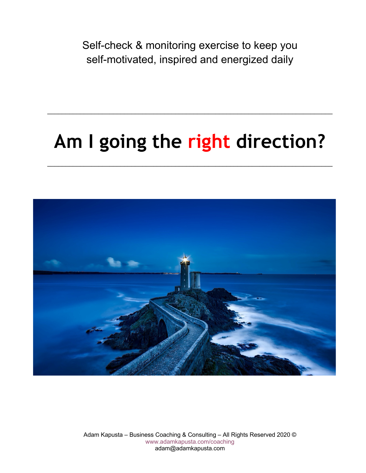Self-check & monitoring exercise to keep you self-motivated, inspired and energized daily

# **Am I going the right direction?**

\_\_\_\_\_\_\_\_\_\_\_\_\_\_\_\_\_\_\_\_\_\_\_\_\_\_\_\_\_\_\_\_\_\_\_\_\_\_\_\_\_\_\_\_\_\_\_\_\_\_\_\_\_\_\_\_\_\_\_\_\_\_\_\_\_\_\_\_\_\_\_\_\_\_\_\_\_\_

\_\_\_\_\_\_\_\_\_\_\_\_\_\_\_\_\_\_\_\_\_\_\_\_\_\_\_\_\_\_\_\_\_\_\_\_\_\_\_\_\_\_\_\_\_\_\_\_\_\_\_\_\_\_\_\_\_\_\_\_\_\_\_\_\_\_\_\_\_\_\_\_\_\_\_\_\_\_



Adam Kapusta – Business Coaching & Consulting – All Rights Reserved 2020 © www.adamkapusta.com/coaching adam@adamkapusta.com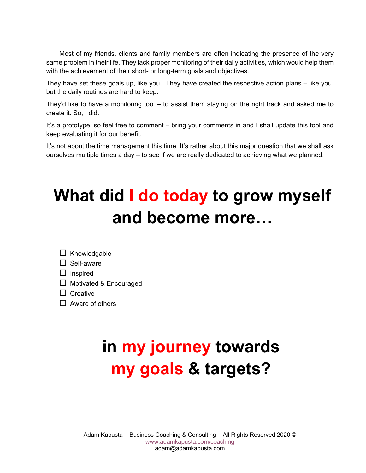Most of my friends, clients and family members are often indicating the presence of the very same problem in their life. They lack proper monitoring of their daily activities, which would help them with the achievement of their short- or long-term goals and objectives.

They have set these goals up, like you. They have created the respective action plans – like you, but the daily routines are hard to keep.

They'd like to have a monitoring tool – to assist them staying on the right track and asked me to create it. So, I did.

It's a prototype, so feel free to comment – bring your comments in and I shall update this tool and keep evaluating it for our benefit.

It's not about the time management this time. It's rather about this major question that we shall ask ourselves multiple times a day – to see if we are really dedicated to achieving what we planned.

## **What did I do today to grow myself and become more…**

| $\Box$ Knowledgable |  |
|---------------------|--|
|---------------------|--|

| $\Box$ Self-aware |  |
|-------------------|--|
|-------------------|--|

| Inspired |
|----------|
|----------|

 $\Box$  Motivated & Encouraged

 $\square$  Creative

 $\Box$  Aware of others

# **in my journey towards my goals & targets?**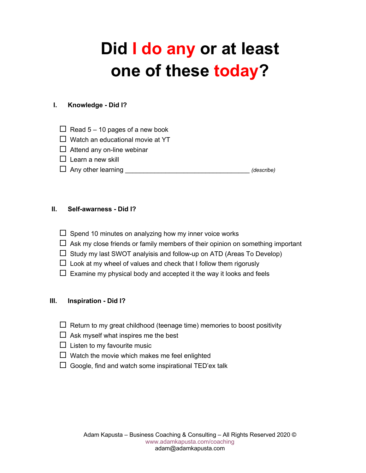## **Did I do any or at least one of these today?**

### **I. Knowledge - Did I?**

- $\Box$  Read 5 10 pages of a new book
- $\Box$  Watch an educational movie at YT
- $\square$  Attend any on-line webinar
- $\square$  Learn a new skill
- □ Any other learning  $\Box$  Any other learning

### **II. Self-awarness - Did I?**

- $\square$  Spend 10 minutes on analyzing how my inner voice works
- $\Box$  Ask my close friends or family members of their opinion on something important
- $\Box$  Study my last SWOT analyisis and follow-up on ATD (Areas To Develop)
- $\square$  Look at my wheel of values and check that I follow them rigorusly
- $\Box$  Examine my physical body and accepted it the way it looks and feels

### **III. Inspiration - Did I?**

- $\Box$  Return to my great childhood (teenage time) memories to boost positivity
- $\Box$  Ask myself what inspires me the best
- $\Box$  Listen to my favourite music
- $\square$  Watch the movie which makes me feel enlighted
- $\square$  Google, find and watch some inspirational TED'ex talk